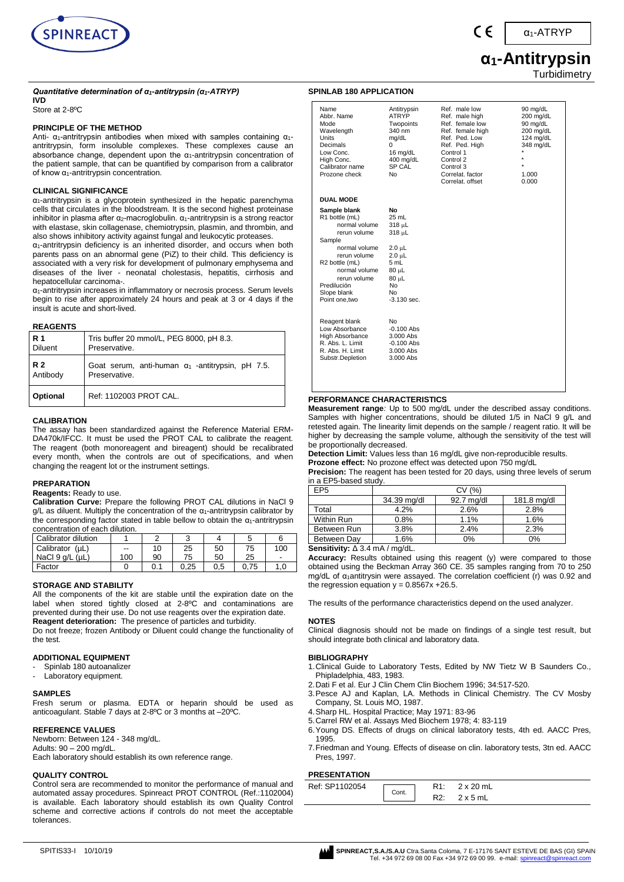

α1-ATRYP

# **α1-Antitrypsin Turbidimetry**

# *Quantitative determination of α1-antitrypsin (α1-ATRYP)*

# **IVD**

Store at 2-8ºC

#### **PRINCIPLE OF THE METHOD**

Anti-  $α_1$ -antritrypsin antibodies when mixed with samples containing  $α_1$ antritrypsin, form insoluble complexes. These complexes cause an absorbance change, dependent upon the  $\alpha_1$ -antritrypsin concentration of the patient sample, that can be quantified by comparison from a calibrator of know α1-antritrypsin concentration.

#### **CLINICAL SIGNIFICANCE**

α1-antritrypsin is a glycoprotein synthesized in the hepatic parenchyma cells that circulates in the bloodstream. It is the second highest proteinase inhibitor in plasma after  $\alpha_2$ -macroglobulin.  $\alpha_1$ -antritrypsin is a strong reactor with elastase, skin collagenase, chemiotrypsin, plasmin, and thrombin, and also shows inhibitory activity against fungal and leukocytic proteases.

α1-antritrypsin deficiency is an inherited disorder, and occurs when both parents pass on an abnormal gene (PiZ) to their child. This deficiency is associated with a very risk for development of pulmonary emphysema and diseases of the liver - neonatal cholestasis, hepatitis, cirrhosis and hepatocellular carcinoma-.

α1-antritrypsin increases in inflammatory or necrosis process. Serum levels begin to rise after approximately 24 hours and peak at 3 or 4 days if the insult is acute and short-lived.

#### **REAGENTS**

| <b>R</b> 1     | Tris buffer 20 mmol/L, PEG 8000, pH 8.3.                |
|----------------|---------------------------------------------------------|
| <b>Diluent</b> | Preservative.                                           |
| <b>R2</b>      | Goat serum, anti-human $\alpha_1$ -antitrypsin, pH 7.5. |
| Antibody       | Preservative.                                           |
| Optional       | Ref: 1102003 PROT CAL.                                  |

#### **CALIBRATION**

The assay has been standardized against the Reference Material ERM-DA470k/IFCC. It must be used the PROT CAL to calibrate the reagent. The reagent (both monoreagent and bireagent) should be recalibrated every month, when the controls are out of specifications, and when changing the reagent lot or the instrument settings.

#### **PREPARATION**

#### **Reagents:** Ready to use.

**Calibration Curve:** Prepare the following PROT CAL dilutions in NaCl 9 g/L as diluent. Multiply the concentration of the  $\alpha_1$ -antritrypsin calibrator by the corresponding factor stated in table bellow to obtain the  $\alpha_1$ -antritrypsin concentration of each dilution.

| Calibrator dilution     |     |    |      |     |    |     |
|-------------------------|-----|----|------|-----|----|-----|
| Calibrator (µL)         | --  | 10 | 25   | 50  | 75 | 100 |
| NaCl $9$ $a/L$ ( $uL$ ) | 100 | 90 | 75   | 50  | 25 |     |
| Factor                  |     |    | 0.25 | 0.5 |    |     |

#### **STORAGE AND STABILITY**

All the components of the kit are stable until the expiration date on the label when stored tightly closed at 2-8°C and contaminations are prevented during their use. Do not use reagents over the expiration date. **Reagent deterioration:** The presence of particles and turbidity. Do not freeze; frozen Antibody or Diluent could change the functionality of the test.

#### **ADDITIONAL EQUIPMENT**

- Spinlab 180 autoanalizer
- Laboratory equipment.

#### **SAMPLES**

Fresh serum or plasma. EDTA or heparin should be used as anticoagulant. Stable 7 days at 2-8ºC or 3 months at –20ºC.

#### **REFERENCE VALUES**

Newborn: Between 124 - 348 mg/dL. Adults: 90 – 200 mg/dL. Each laboratory should establish its own reference range.

#### **QUALITY CONTROL**

Control sera are recommended to monitor the performance of manual and automated assay procedures. Spinreact PROT CONTROL (Ref.:1102004) is available. Each laboratory should establish its own Quality Control scheme and corrective actions if controls do not meet the acceptable tolerances.

#### **SPINLAB 180 APPLICATION**

| Name<br>Abbr. Name<br>Mode<br>Wavelength<br>Units<br>Decimals<br>Low Conc.<br>High Conc.<br>Calibrator name<br>Prozone check                                                                                              | Antitrypsin<br><b>ATRYP</b><br>Twopoints<br>340 nm<br>mg/dL<br>0<br>16 mg/dL<br>400 mg/dL<br>SP CAL<br>No                      | Ref. male low<br>Ref. male high<br>Ref. female low<br>Ref. female high<br>Ref. Ped. Low<br>Ref. Ped. High<br>Control 1<br>Control 2<br>Control 3<br>Correlat. factor<br>Correlat, offset | 90 mg/dL<br>200 mg/dL<br>90 mg/dL<br>200 mg/dL<br>124 mg/dL<br>348 mg/dL<br>×<br>$\star$<br>1.000<br>0.000 |
|---------------------------------------------------------------------------------------------------------------------------------------------------------------------------------------------------------------------------|--------------------------------------------------------------------------------------------------------------------------------|------------------------------------------------------------------------------------------------------------------------------------------------------------------------------------------|------------------------------------------------------------------------------------------------------------|
| <b>DUAL MODE</b>                                                                                                                                                                                                          |                                                                                                                                |                                                                                                                                                                                          |                                                                                                            |
| Sample blank<br>R1 bottle (mL)<br>normal volume<br>rerun volume<br>Sample<br>normal volume<br>rerun volume<br>R <sub>2</sub> bottle (mL)<br>normal volume<br>rerun volume<br>Predilución<br>Slope blank<br>Point one, two | No<br>$25 \text{ mL}$<br>318 µL<br>318 µL<br>$2.0 \mu L$<br>2.0 µL<br>5 mL<br>$80 \mu L$<br>80 µL<br>No<br>No<br>$-3.130$ sec. |                                                                                                                                                                                          |                                                                                                            |
| Reagent blank<br>Low Absorbance<br>High Absorbance<br>R. Abs. L. Limit<br>R. Abs. H. Limit<br>Substr.Depletion                                                                                                            | No<br>$-0.100$ Abs<br>3.000 Abs<br>$-0.100$ Abs<br>$3.000$ Abs<br>3.000 Abs                                                    |                                                                                                                                                                                          |                                                                                                            |

# **PERFORMANCE CHARACTERISTICS**

**Measurement range***:* Up to 500 mg/dL under the described assay conditions. Samples with higher concentrations, should be diluted 1/5 in NaCl 9 g/L and retested again. The linearity limit depends on the sample / reagent ratio. It will be higher by decreasing the sample volume, although the sensitivity of the test will be proportionally decreased.

**Detection Limit:** Values less than 16 mg/dL give non-reproducible results.

**Prozone effect:** No prozone effect was detected upon 750 mg/dL

**Precision:** The reagent has been tested for 20 days, using three levels of serum in a EP5-based study.

| a Li o basca staav.            |             |            |             |  |  |  |  |
|--------------------------------|-------------|------------|-------------|--|--|--|--|
| EP <sub>5</sub>                | CV(%)       |            |             |  |  |  |  |
|                                | 34.39 mg/dl | 92.7 mg/dl | 181.8 mg/dl |  |  |  |  |
| Total                          | 4.2%        | 2.6%       | 2.8%        |  |  |  |  |
| Within Run                     | 0.8%        | 1.1%       | 1.6%        |  |  |  |  |
| Between Run                    | 3.8%        | 2.4%       | 2.3%        |  |  |  |  |
| Between Dav                    | 1.6%        | 0%         | 0%          |  |  |  |  |
| Sancitivity: A 3 A m A / ma/dl |             |            |             |  |  |  |  |

#### **Sensitivity:** Δ 3.4 mA / mg/dL.

**Accuracy:** Results obtained using this reagent (y) were compared to those obtained using the Beckman Array 360 CE. 35 samples ranging from 70 to 250 mg/dL of α1antitrysin were assayed. The correlation coefficient (r) was 0.92 and the regression equation  $y = 0.8567x + 26.5$ .

The results of the performance characteristics depend on the used analyzer.

#### **NOTES**

Clinical diagnosis should not be made on findings of a single test result, but should integrate both clinical and laboratory data.

# **BIBLIOGRAPHY**

- 1.Clinical Guide to Laboratory Tests, Edited by NW Tietz W B Saunders Co., Phipladelphia, 483, 1983.
- 2.Dati F et al. Eur J Clin Chem Clin Biochem 1996; 34:517-520.
- 3.Pesce AJ and Kaplan, LA. Methods in Clinical Chemistry. The CV Mosby Company, St. Louis MO, 1987.
- 4.Sharp HL. Hospital Practice; May 1971: 83-96
- 5.Carrel RW et al. Assays Med Biochem 1978; 4: 83-119
- 6.Young DS. Effects of drugs on clinical laboratory tests, 4th ed. AACC Pres, 1995.
- 7.Friedman and Young. Effects of disease on clin. laboratory tests, 3tn ed. AACC Pres, 1997.

# **PRESENTATION**

| .              |       |     |                  |
|----------------|-------|-----|------------------|
| Ref: SP1102054 | Cont. |     | $2 \times 20$ mL |
|                |       | \∠. | $2 \times 5$ mL  |

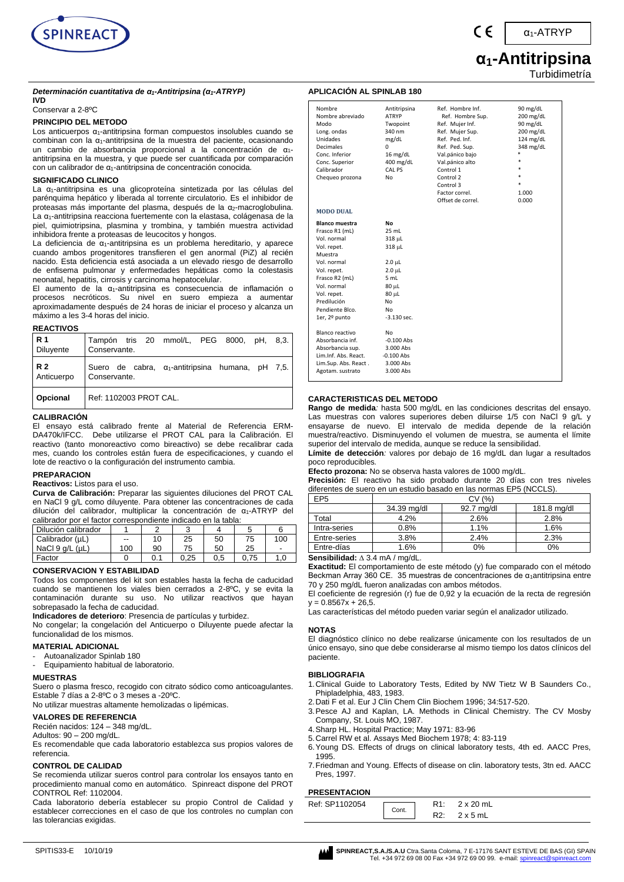

α1-ATRYP

# **α1-Antitripsina** Turbidimetría

#### *Determinación cuantitativa de α1-Antitripsina (α1-ATRYP)* **IVD**

Conservar a 2-8ºC

# **PRINCIPIO DEL METODO**

Los anticuerpos  $\alpha_1$ -antitripsina forman compuestos insolubles cuando se combinan con la α<sub>1</sub>-antitripsina de la muestra del paciente, ocasionando un cambio de absorbancia proporcional a la concentración de α1 antitripsina en la muestra, y que puede ser cuantificada por comparación con un calibrador de α1-antitripsina de concentración conocida.

#### **SIGNIFICADO CLINICO**

La α1-antitripsina es una glicoproteína sintetizada por las células del parénquima hepático y liberada al torrente circulatorio. Es el inhibidor de proteasas más importante del plasma, después de la α2-macroglobulina. La α1-antitripsina reacciona fuertemente con la elastasa, colágenasa de la piel, quimiotripsina, plasmina y trombina, y también muestra actividad inhibidora frente a proteasas de leucocitos y hongos.

La deficiencia de α1-antitripsina es un problema hereditario, y aparece cuando ambos progenitores transfieren el gen anormal (PiZ) al recién nacido. Esta deficiencia está asociada a un elevado riesgo de desarrollo de enfisema pulmonar y enfermedades hepáticas como la colestasis neonatal, hepatitis, cirrosis y carcinoma hepatocelular.

El aumento de la α1-antitripsina es consecuencia de inflamación o procesos necróticos. Su nivel en suero empieza a aumentar aproximadamente después de 24 horas de iniciar el proceso y alcanza un máximo a les 3-4 horas del inicio.

#### **REACTIVOS**

| R 1             | Tampón tris 20 mmol/L, PEG 8000, pH, 8,3.                |
|-----------------|----------------------------------------------------------|
| Diluyente       | Conservante.                                             |
| R 2             | Suero de cabra, $\alpha_1$ -antitripsina humana, pH 7,5. |
| Anticuerpo      | Conservante.                                             |
| <b>Opcional</b> | Ref: 1102003 PROT CAL.                                   |

#### **CALIBRACIÓN**

El ensayo está calibrado frente al Material de Referencia ERM-DA470k/IFCC. Debe utilizarse el PROT CAL para la Calibración. El reactivo (tanto monoreactivo como bireactivo) se debe recalibrar cada mes, cuando los controles están fuera de especificaciones, y cuando el lote de reactivo o la configuración del instrumento cambia.

#### **PREPARACION**

**Reactivos:** Listos para el uso.

**Curva de Calibración:** Preparar las siguientes diluciones del PROT CAL en NaCl 9 g/L como diluyente. Para obtener las concentraciones de cada dilución del calibrador, multiplicar la concentración de α1-ATRYP del calibrador por el factor correspondiente indicado en la tabla:

| Dilución calibrador     |     |    |      |     |      |     |
|-------------------------|-----|----|------|-----|------|-----|
| Calibrador (µL)         | $-$ |    | 25   | 50  | 75   | 100 |
| NaCl $9$ q/L ( $\mu$ L) | 100 | 90 | 75   | 50  | 25   | -   |
| Factor                  |     |    | 0.25 | 0.5 | 0.75 | 1.0 |

#### **CONSERVACION Y ESTABILIDAD**

Todos los componentes del kit son estables hasta la fecha de caducidad cuando se mantienen los viales bien cerrados a 2-8ºC, y se evita la contaminación durante su uso. No utilizar reactivos que hayan sobrepasado la fecha de caducidad.

**Indicadores de deterioro**: Presencia de partículas y turbidez.

No congelar; la congelación del Anticuerpo o Diluyente puede afectar la funcionalidad de los mismos.

#### **MATERIAL ADICIONAL**

Autoanalizador Spinlab 180

- Equipamiento habitual de laboratorio.

#### **MUESTRAS**

Suero o plasma fresco, recogido con citrato sódico como anticoagulantes. Estable 7 días a 2-8ºC o 3 meses a -20ºC.

No utilizar muestras altamente hemolizadas o lipémicas.

# **VALORES DE REFERENCIA**

Recién nacidos: 124 – 348 mg/dL.

# Adultos: 90 – 200 mg/dL.

Es recomendable que cada laboratorio establezca sus propios valores de referencia.

#### **CONTROL DE CALIDAD**

Se recomienda utilizar sueros control para controlar los ensayos tanto en procedimiento manual como en automático. Spinreact dispone del PROT CONTROL Ref: 1102004.

Cada laboratorio debería establecer su propio Control de Calidad y establecer correcciones en el caso de que los controles no cumplan con las tolerancias exigidas.

| Nombre<br>Nombre abreviado<br>Modo<br>Long. ondas<br>Unidades<br><b>Decimales</b><br>Conc. Inferior<br>Conc. Superior<br>Calibrador<br>Chequeo prozona                                                            | Antitripsina<br><b>ATRYP</b><br>Twopoint<br>340 nm<br>mg/dL<br>0<br>$16$ mg/dL<br>400 mg/dL<br>CAL PS<br>No            | Ref. Hombre Inf.<br>Ref. Hombre Sup.<br>Ref. Mujer Inf.<br>Ref. Mujer Sup.<br>Ref. Ped. Inf.<br>Ref. Ped. Sup.<br>Val.pánico bajo<br>Val.pánico alto<br>Control 1<br>Control 2<br>Control 3<br>Factor correl.<br>Offset de correl. | 90 mg/dL<br>$200$ mg/dL<br>90 mg/dL<br>200 mg/dL<br>124 mg/dL<br>348 mg/dL<br>*<br>×.<br>sk.<br>*<br>×.<br>1.000<br>0.000 |
|-------------------------------------------------------------------------------------------------------------------------------------------------------------------------------------------------------------------|------------------------------------------------------------------------------------------------------------------------|------------------------------------------------------------------------------------------------------------------------------------------------------------------------------------------------------------------------------------|---------------------------------------------------------------------------------------------------------------------------|
| <b>MODO DUAL</b>                                                                                                                                                                                                  |                                                                                                                        |                                                                                                                                                                                                                                    |                                                                                                                           |
| <b>Blanco muestra</b><br>Frasco R1 (mL)<br>Vol. normal<br>Vol. repet.<br>Muestra<br>Vol. normal<br>Vol. repet.<br>Frasco R2 (mL)<br>Vol. normal<br>Vol. repet.<br>Predilución<br>Pendiente Blco.<br>1er, 2º punto | No<br>25 mL<br>318 µL<br>318 µL<br>$2.0 \mu L$<br>$2.0$ $\mu$ L<br>5 mL<br>80 µL<br>80 µL<br>No<br>No<br>$-3.130$ sec. |                                                                                                                                                                                                                                    |                                                                                                                           |
| Blanco reactivo<br>Absorbancia inf.<br>Absorbancia sup.<br>Lim.Inf. Abs. React.<br>Lim.Sup. Abs. React.<br>Agotam. sustrato                                                                                       | No<br>$-0.100$ Abs<br>3.000 Abs<br>$-0.100$ Abs<br>3.000 Abs<br>3.000 Abs                                              |                                                                                                                                                                                                                                    |                                                                                                                           |

#### **CARACTERISTICAS DEL METODO**

**Rango de medida***:* hasta 500 mg/dL en las condiciones descritas del ensayo. Las muestras con valores superiores deben diluirse 1/5 con NaCl 9 g/L y ensayarse de nuevo. El intervalo de medida depende de la relación muestra/reactivo. Disminuyendo el volumen de muestra, se aumenta el límite superior del intervalo de medida, aunque se reduce la sensibilidad.

**Límite de detección***:* valores por debajo de 16 mg/dL dan lugar a resultados poco reproducibles*.*

**Efecto prozona:** No se observa hasta valores de 1000 mg/dL.

**Precisión:** El reactivo ha sido probado durante 20 días con tres niveles diferentes de suero en un estudio basado en las normas EP5 (NCCLS).

| EP <sub>5</sub>                       | CV (%)      |            |             |  |  |  |  |
|---------------------------------------|-------------|------------|-------------|--|--|--|--|
|                                       | 34.39 mg/dl | 92.7 mg/dl | 181.8 mg/dl |  |  |  |  |
| Total                                 | 4.2%        | 2.6%       | 2.8%        |  |  |  |  |
| Intra-series                          | 0.8%        | 1.1%       | 1.6%        |  |  |  |  |
| Entre-series                          | 3.8%        | 2.4%       | 2.3%        |  |  |  |  |
| Entre-días                            | 1.6%        | 0%         | $0\%$       |  |  |  |  |
| Constabilidad: A.O. A.me A. Logardall |             |            |             |  |  |  |  |

**Sensibilidad:** 3.4 mA / mg/dL.

**Exactitud:** El comportamiento de este método (y) fue comparado con el método Beckman Array 360 CE. 35 muestras de concentraciones de α<sub>1</sub>antitripsina entre 70 y 250 mg/dL fueron analizadas con ambos métodos.

El coeficiente de regresión (r) fue de 0,92 y la ecuación de la recta de regresión  $y = 0.8567x + 26,5$ .

Las características del método pueden variar según el analizador utilizado.

#### **NOTAS**

El diagnóstico clínico no debe realizarse únicamente con los resultados de un único ensayo, sino que debe considerarse al mismo tiempo los datos clínicos del paciente.

#### **BIBLIOGRAFIA**

- 1.Clinical Guide to Laboratory Tests, Edited by NW Tietz W B Saunders Co., Phipladelphia, 483, 1983.
- 2.Dati F et al. Eur J Clin Chem Clin Biochem 1996; 34:517-520.
- 3.Pesce AJ and Kaplan, LA. Methods in Clinical Chemistry. The CV Mosby Company, St. Louis MO, 1987.
- 4.Sharp HL. Hospital Practice; May 1971: 83-96
- 5.Carrel RW et al. Assays Med Biochem 1978; 4: 83-119
- 6.Young DS. Effects of drugs on clinical laboratory tests, 4th ed. AACC Pres, 1995.
- 7.Friedman and Young. Effects of disease on clin. laboratory tests, 3tn ed. AACC Pres, 1997.

#### **PRESENTACION**

| .              |       |     |                  |
|----------------|-------|-----|------------------|
| Ref: SP1102054 | Cont. |     | $2 \times 20$ mL |
|                |       | R2: | $2 \times 5$ mL  |

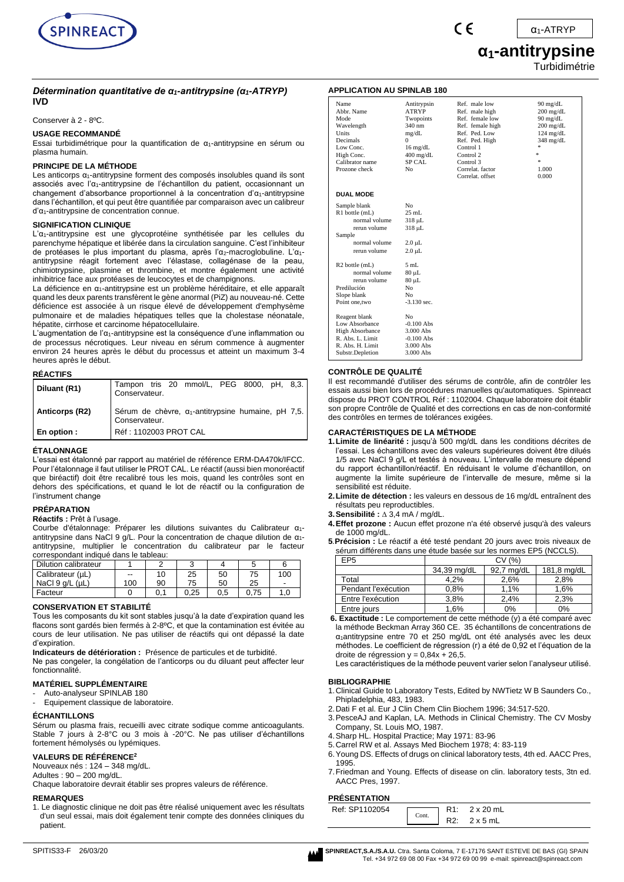

#### *Détermination quantitative de α1-antitrypsine (α1-ATRYP)* **IVD**

Conserver à 2 - 8ºC.

#### **USAGE RECOMMANDÉ**

Essai turbidimétrique pour la quantification de  $\alpha_1$ -antitrypsine en sérum ou plasma humain.

#### **PRINCIPE DE LA MÉTHODE**

Les anticorps  $α_1$ -antitrypsine forment des composés insolubles quand ils sont associés avec l'α1-antitrypsine de l'échantillon du patient, occasionnant un changement d'absorbance proportionnel à la concentration d'α1-antitrypsine dans l'échantillon, et qui peut être quantifiée par comparaison avec un calibreur d'α1-antitrypsine de concentration connue.

#### **SIGNIFICATION CLINIQUE**

L'α1-antitrypsine est une glycoprotéine synthétisée par les cellules du parenchyme hépatique et libérée dans la circulation sanguine. C'est l'inhibiteur de protéases le plus important du plasma, après l'α2-macroglobuline. L'α1antitrypsine réagit fortement avec l'élastase, collagénase de la peau, chimiotrypsine, plasmine et thrombine, et montre également une activité inhibitrice face aux protéases de leucocytes et de champignons.

La déficience en  $\alpha_1$ -antitrypsine est un problème héréditaire, et elle apparaît quand les deux parents transfèrent le gène anormal (PiZ) au nouveau-né. Cette déficience est associée à un risque élevé de développement d'emphysème pulmonaire et de maladies hépatiques telles que la cholestase néonatale, hépatite, cirrhose et carcinome hépatocellulaire.

L'augmentation de l' $\alpha_1$ -antitrypsine est la conséquence d'une inflammation ou de processus nécrotiques. Leur niveau en sérum commence à augmenter environ 24 heures après le début du processus et atteint un maximum 3-4 heures après le début.

# **RÉACTIFS**

| Diluant (R1)   | Tampon tris 20 mmol/L, PEG 8000, pH, 8,3.<br>Conservateur.                  |
|----------------|-----------------------------------------------------------------------------|
| Anticorps (R2) | Sérum de chèvre, $\alpha_1$ -antitrypsine humaine, pH 7,5.<br>Conservateur. |
| En option:     | Réf : 1102003 PROT CAL                                                      |

#### **ÉTALONNAGE**

L'essai est étalonné par rapport au matériel de référence ERM-DA470k/IFCC. Pour l'étalonnage il faut utiliser le PROT CAL. Le réactif (aussi bien monoréactif que biréactif) doit être recalibré tous les mois, quand les contrôles sont en dehors des spécifications, et quand le lot de réactif ou la configuration de l'instrument change

# **PRÉPARATION**

## **Réactifs :** Prêt à l'usage.

Courbe d'étalonnage: Préparer les dilutions suivantes du Calibrateur α1 antitrypsine dans NaCl 9 g/L. Pour la concentration de chaque dilution de α1 antitrypsine, multiplier le concentration du calibrateur par le facteur correspondant indiqué dans le tableau:

| Dilution calibrateur    |     |    |      |     |      |     |
|-------------------------|-----|----|------|-----|------|-----|
| Calibrateur (µL)        | $-$ | 10 | 25   | 50  | 75   | 100 |
| NaCl $9$ q/L ( $\mu$ L) | 100 | 90 | 75   | 50  | 25   |     |
| Facteur                 |     |    | 0.25 | 0.5 | 0.75 |     |

#### **CONSERVATION ET STABILITÉ**

Tous les composants du kit sont stables jusqu'à la date d'expiration quand les flacons sont gardés bien fermés à 2-8ºC, et que la contamination est évitée au cours de leur utilisation. Ne pas utiliser de réactifs qui ont dépassé la date d'expiration.

**Indicateurs de détérioration :** Présence de particules et de turbidité. Ne pas congeler, la congélation de l'anticorps ou du diluant peut affecter leur

fonctionnalité.

# **MATÉRIEL SUPPLÉMENTAIRE**

Auto-analyseur SPINLAB 180 Equipement classique de laboratoire.

#### **ÉCHANTILLONS**

Sérum ou plasma frais, recueilli avec citrate sodique comme anticoagulants. Stable 7 jours à 2-8°C ou 3 mois à -20°C. Ne pas utiliser d'échantillons fortement hémolysés ou lypémiques.

#### **VALEURS DE RÉFÉRENCE<sup>2</sup>**

Nouveaux nés : 124 – 348 mg/dL.

Adultes : 90 – 200 mg/dL.

# Chaque laboratoire devrait établir ses propres valeurs de référence.

#### **REMARQUES**

1. Le diagnostic clinique ne doit pas être réalisé uniquement avec les résultats d'un seul essai, mais doit également tenir compte des données cliniques du patient.

#### **APPLICATION AU SPINLAB 180**

| Name<br>Abbr. Name<br>Mode<br>Wavelength<br>Units<br><b>Decimals</b><br>Low Conc.<br>High Conc.<br>Calibrator name<br>Prozone check | Antitrypsin<br><b>ATRYP</b><br>Twopoints<br>340 nm<br>mg/dL<br>$\Omega$<br>$16 \text{ mg/dL}$<br>$400$ mg/dL<br><b>SP CAL</b><br>N <sub>0</sub> | Ref. male low<br>Ref. male high<br>Ref. female low<br>Ref. female high<br>Ref. Ped. Low<br>Ref. Ped. High<br>Control 1<br>Control 2<br>Control 3<br>Correlat. factor<br>Correlat. offset | $90 \text{ mg/dL}$<br>$200 \text{ mg/dL}$<br>90 mg/dL<br>$200 \text{ mg/dL}$<br>$124$ mg/dL<br>$348 \text{ mg/dL}$<br>*<br>÷.<br>ź.<br>1.000<br>0.000 |
|-------------------------------------------------------------------------------------------------------------------------------------|-------------------------------------------------------------------------------------------------------------------------------------------------|------------------------------------------------------------------------------------------------------------------------------------------------------------------------------------------|-------------------------------------------------------------------------------------------------------------------------------------------------------|
| <b>DUAL MODE</b>                                                                                                                    |                                                                                                                                                 |                                                                                                                                                                                          |                                                                                                                                                       |
| Sample blank                                                                                                                        | N <sub>0</sub>                                                                                                                                  |                                                                                                                                                                                          |                                                                                                                                                       |
| R1 bottle (mL)                                                                                                                      | $25$ mL                                                                                                                                         |                                                                                                                                                                                          |                                                                                                                                                       |
| normal volume                                                                                                                       | 318 µL                                                                                                                                          |                                                                                                                                                                                          |                                                                                                                                                       |
| rerun volume                                                                                                                        | 318 µL                                                                                                                                          |                                                                                                                                                                                          |                                                                                                                                                       |
| Sample                                                                                                                              |                                                                                                                                                 |                                                                                                                                                                                          |                                                                                                                                                       |
| normal volume                                                                                                                       | $2.0 \mu L$                                                                                                                                     |                                                                                                                                                                                          |                                                                                                                                                       |
| rerun volume                                                                                                                        | $2.0 \mu L$                                                                                                                                     |                                                                                                                                                                                          |                                                                                                                                                       |
| R <sub>2</sub> bottle (mL)                                                                                                          | 5mL                                                                                                                                             |                                                                                                                                                                                          |                                                                                                                                                       |
| normal volume                                                                                                                       | $80 \mu L$                                                                                                                                      |                                                                                                                                                                                          |                                                                                                                                                       |
| rerun volume                                                                                                                        | $80 \mu L$                                                                                                                                      |                                                                                                                                                                                          |                                                                                                                                                       |
| Predilución                                                                                                                         | No                                                                                                                                              |                                                                                                                                                                                          |                                                                                                                                                       |
| Slope blank                                                                                                                         | N <sub>0</sub>                                                                                                                                  |                                                                                                                                                                                          |                                                                                                                                                       |
| Point one, two                                                                                                                      | $-3.130$ sec.                                                                                                                                   |                                                                                                                                                                                          |                                                                                                                                                       |
| Reagent blank                                                                                                                       | N <sub>0</sub>                                                                                                                                  |                                                                                                                                                                                          |                                                                                                                                                       |
| Low Absorbance                                                                                                                      | $-0.100$ Abs                                                                                                                                    |                                                                                                                                                                                          |                                                                                                                                                       |
| <b>High Absorbance</b>                                                                                                              | 3.000 Abs                                                                                                                                       |                                                                                                                                                                                          |                                                                                                                                                       |
| R. Abs. L. Limit                                                                                                                    | $-0.100$ Abs                                                                                                                                    |                                                                                                                                                                                          |                                                                                                                                                       |
| R. Abs. H. Limit                                                                                                                    | 3.000 Abs                                                                                                                                       |                                                                                                                                                                                          |                                                                                                                                                       |
| Substr.Depletion                                                                                                                    | 3.000 Abs                                                                                                                                       |                                                                                                                                                                                          |                                                                                                                                                       |

 $\epsilon$ 

#### **CONTRÔLE DE QUALITÉ**

Il est recommandé d'utiliser des sérums de contrôle, afin de contrôler les essais aussi bien lors de procédures manuelles qu'automatiques. Spinreact dispose du PROT CONTROL Réf : 1102004. Chaque laboratoire doit établir son propre Contrôle de Qualité et des corrections en cas de non-conformité des contrôles en termes de tolérances exigées.

#### **CARACTÉRISTIQUES DE LA MÉTHODE**

- **1.Limite de linéarité :** jusqu'à 500 mg/dL dans les conditions décrites de l'essai. Les échantillons avec des valeurs supérieures doivent être dilués 1/5 avec NaCl 9 g/L et testés à nouveau. L'intervalle de mesure dépend du rapport échantillon/réactif. En réduisant le volume d'échantillon, on augmente la limite supérieure de l'intervalle de mesure, même si la sensibilité est réduite.
- **2.Limite de détection :** les valeurs en dessous de 16 mg/dL entraînent des résultats peu reproductibles.
- **3.Sensibilité :** 3,4 mA / mg/dL.
- **4.Effet prozone :** Aucun effet prozone n'a été observé jusqu'à des valeurs de 1000 mg/dL.
- **5***.***Précision :** Le réactif a été testé pendant 20 jours avec trois niveaux de sérum différents dans une étude basée sur les normes EP5 (NCCLS).

| EP5                 | CV (%)      |            |             |  |  |
|---------------------|-------------|------------|-------------|--|--|
|                     | 34,39 mg/dL | 92,7 mg/dL | 181,8 mg/dL |  |  |
| Total               | 4.2%        | 2,6%       | 2.8%        |  |  |
| Pendant l'exécution | 0,8%        | 1.1%       | 1.6%        |  |  |
| Entre l'exécution   | 3.8%        | 2.4%       | 2,3%        |  |  |
| Entre jours         | $.6\%$      | 0%         | 0%          |  |  |

**6. Exactitude :** Le comportement de cette méthode (y) a été comparé avec la méthode Beckman Array 360 CE. 35 échantillons de concentrations de α1antitrypsine entre 70 et 250 mg/dL ont été analysés avec les deux méthodes. Le coefficient de régression (r) a été de 0,92 et l'équation de la droite de régression  $y = 0.84x + 26.5$ .

Les caractéristiques de la méthode peuvent varier selon l'analyseur utilisé.

#### **BIBLIOGRAPHIE**

- 1.Clinical Guide to Laboratory Tests, Edited by NWTietz W B Saunders Co., Phipladelphia, 483, 1983.
- 2.Dati F et al. Eur J Clin Chem Clin Biochem 1996; 34:517-520.
- 3.PesceAJ and Kaplan, LA. Methods in Clinical Chemistry. The CV Mosby Company, St. Louis MO, 1987.
- 4.Sharp HL. Hospital Practice; May 1971: 83-96
- 5.Carrel RW et al. Assays Med Biochem 1978; 4: 83-119
- 6.Young DS. Effects of drugs on clinical laboratory tests, 4th ed. AACC Pres, 1995.
- 7.Friedman and Young. Effects of disease on clin. laboratory tests, 3tn ed. AACC Pres, 1997.

# **PRÉSENTATION**

| , NLVLNIAIIVIN |       |                 |
|----------------|-------|-----------------|
| Ref: SP1102054 | Cont. | 2 x 20 mL       |
|                |       | $2 \times 5$ mL |

SPINREACT, S.A./S.A.U. Ctra. Santa Coloma, 7 E-17176 SANT ESTEVE DE BAS (GI) SPAIN **SPINREACT, S.A./S.A.U.** Ctra. Santa Coloma, 7 E-17176 SANT ESTEVE DE BAS (GI) SPAIN Tel. +34 972 69 08 00 Fax +34 972 69 00 99 e-mail: spinreact@spinreact.com

# **α1-antitrypsine**

**Turbidimétrie**